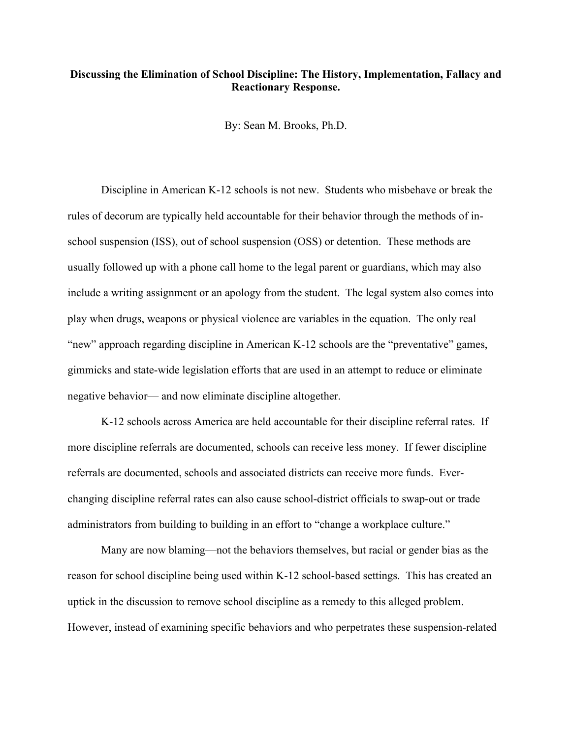## **Discussing the Elimination of School Discipline: The History, Implementation, Fallacy and Reactionary Response.**

By: Sean M. Brooks, Ph.D.

Discipline in American K-12 schools is not new. Students who misbehave or break the rules of decorum are typically held accountable for their behavior through the methods of inschool suspension (ISS), out of school suspension (OSS) or detention. These methods are usually followed up with a phone call home to the legal parent or guardians, which may also include a writing assignment or an apology from the student. The legal system also comes into play when drugs, weapons or physical violence are variables in the equation. The only real "new" approach regarding discipline in American K-12 schools are the "preventative" games, gimmicks and state-wide legislation efforts that are used in an attempt to reduce or eliminate negative behavior— and now eliminate discipline altogether.

K-12 schools across America are held accountable for their discipline referral rates. If more discipline referrals are documented, schools can receive less money. If fewer discipline referrals are documented, schools and associated districts can receive more funds. Everchanging discipline referral rates can also cause school-district officials to swap-out or trade administrators from building to building in an effort to "change a workplace culture."

Many are now blaming—not the behaviors themselves, but racial or gender bias as the reason for school discipline being used within K-12 school-based settings. This has created an uptick in the discussion to remove school discipline as a remedy to this alleged problem. However, instead of examining specific behaviors and who perpetrates these suspension-related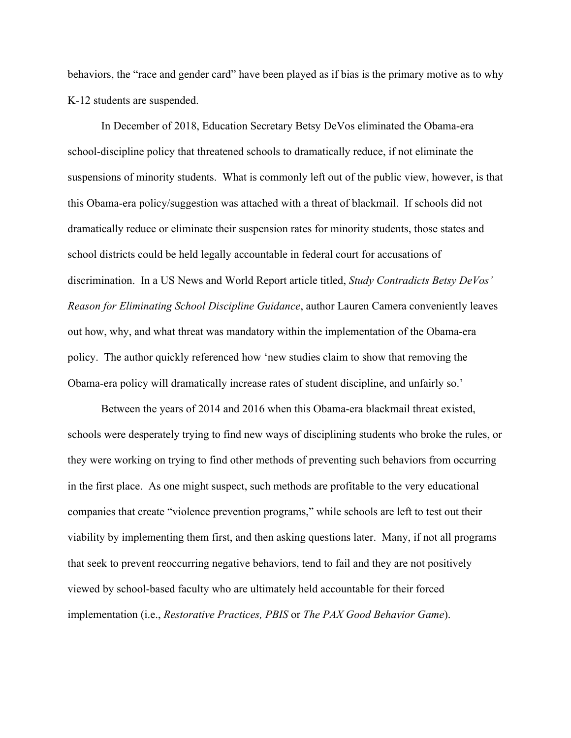behaviors, the "race and gender card" have been played as if bias is the primary motive as to why K-12 students are suspended.

In December of 2018, Education Secretary Betsy DeVos eliminated the Obama-era school-discipline policy that threatened schools to dramatically reduce, if not eliminate the suspensions of minority students. What is commonly left out of the public view, however, is that this Obama-era policy/suggestion was attached with a threat of blackmail. If schools did not dramatically reduce or eliminate their suspension rates for minority students, those states and school districts could be held legally accountable in federal court for accusations of discrimination. In a US News and World Report article titled, *Study Contradicts Betsy DeVos' Reason for Eliminating School Discipline Guidance*, author Lauren Camera conveniently leaves out how, why, and what threat was mandatory within the implementation of the Obama-era policy. The author quickly referenced how 'new studies claim to show that removing the Obama-era policy will dramatically increase rates of student discipline, and unfairly so.'

Between the years of 2014 and 2016 when this Obama-era blackmail threat existed, schools were desperately trying to find new ways of disciplining students who broke the rules, or they were working on trying to find other methods of preventing such behaviors from occurring in the first place. As one might suspect, such methods are profitable to the very educational companies that create "violence prevention programs," while schools are left to test out their viability by implementing them first, and then asking questions later. Many, if not all programs that seek to prevent reoccurring negative behaviors, tend to fail and they are not positively viewed by school-based faculty who are ultimately held accountable for their forced implementation (i.e., *Restorative Practices, PBIS* or *The PAX Good Behavior Game*).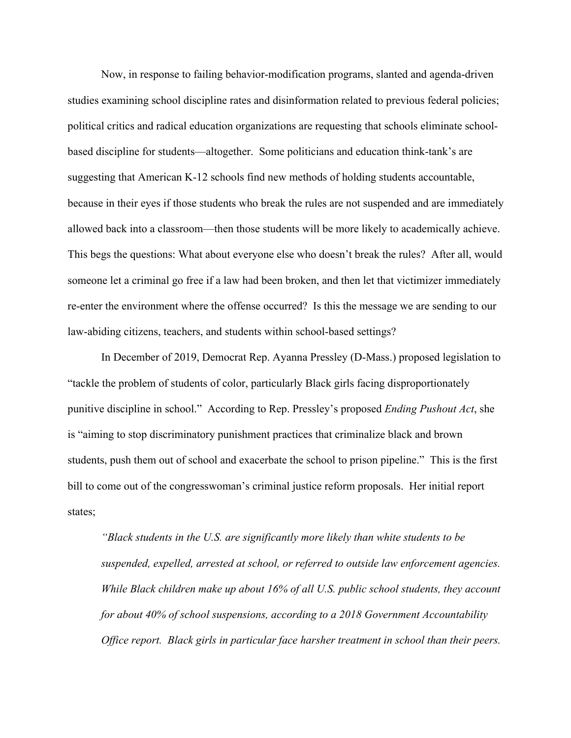Now, in response to failing behavior-modification programs, slanted and agenda-driven studies examining school discipline rates and disinformation related to previous federal policies; political critics and radical education organizations are requesting that schools eliminate schoolbased discipline for students—altogether. Some politicians and education think-tank's are suggesting that American K-12 schools find new methods of holding students accountable, because in their eyes if those students who break the rules are not suspended and are immediately allowed back into a classroom—then those students will be more likely to academically achieve. This begs the questions: What about everyone else who doesn't break the rules? After all, would someone let a criminal go free if a law had been broken, and then let that victimizer immediately re-enter the environment where the offense occurred? Is this the message we are sending to our law-abiding citizens, teachers, and students within school-based settings?

In December of 2019, Democrat Rep. Ayanna Pressley (D-Mass.) proposed legislation to "tackle the problem of students of color, particularly Black girls facing disproportionately punitive discipline in school." According to Rep. Pressley's proposed *Ending Pushout Act*, she is "aiming to stop discriminatory punishment practices that criminalize black and brown students, push them out of school and exacerbate the school to prison pipeline." This is the first bill to come out of the congresswoman's criminal justice reform proposals. Her initial report states;

*"Black students in the U.S. are significantly more likely than white students to be suspended, expelled, arrested at school, or referred to outside law enforcement agencies. While Black children make up about 16% of all U.S. public school students, they account for about 40% of school suspensions, according to a 2018 Government Accountability Office report. Black girls in particular face harsher treatment in school than their peers.*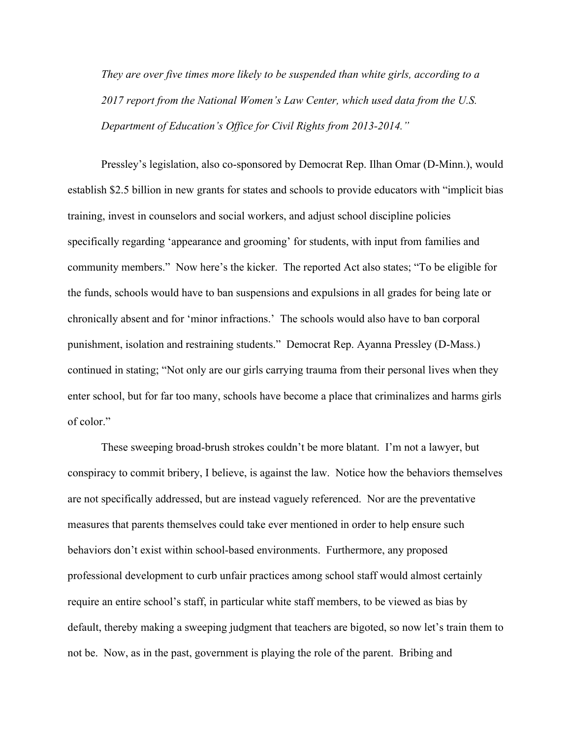*They are over five times more likely to be suspended than white girls, according to a 2017 report from the National Women's Law Center, which used data from the U.S. Department of Education's Office for Civil Rights from 2013-2014."*

Pressley's legislation, also co-sponsored by Democrat Rep. Ilhan Omar (D-Minn.), would establish \$2.5 billion in new grants for states and schools to provide educators with "implicit bias training, invest in counselors and social workers, and adjust school discipline policies specifically regarding 'appearance and grooming' for students, with input from families and community members." Now here's the kicker. The reported Act also states; "To be eligible for the funds, schools would have to ban suspensions and expulsions in all grades for being late or chronically absent and for 'minor infractions.' The schools would also have to ban corporal punishment, isolation and restraining students." Democrat Rep. Ayanna Pressley (D-Mass.) continued in stating; "Not only are our girls carrying trauma from their personal lives when they enter school, but for far too many, schools have become a place that criminalizes and harms girls of color."

These sweeping broad-brush strokes couldn't be more blatant. I'm not a lawyer, but conspiracy to commit bribery, I believe, is against the law. Notice how the behaviors themselves are not specifically addressed, but are instead vaguely referenced. Nor are the preventative measures that parents themselves could take ever mentioned in order to help ensure such behaviors don't exist within school-based environments. Furthermore, any proposed professional development to curb unfair practices among school staff would almost certainly require an entire school's staff, in particular white staff members, to be viewed as bias by default, thereby making a sweeping judgment that teachers are bigoted, so now let's train them to not be. Now, as in the past, government is playing the role of the parent. Bribing and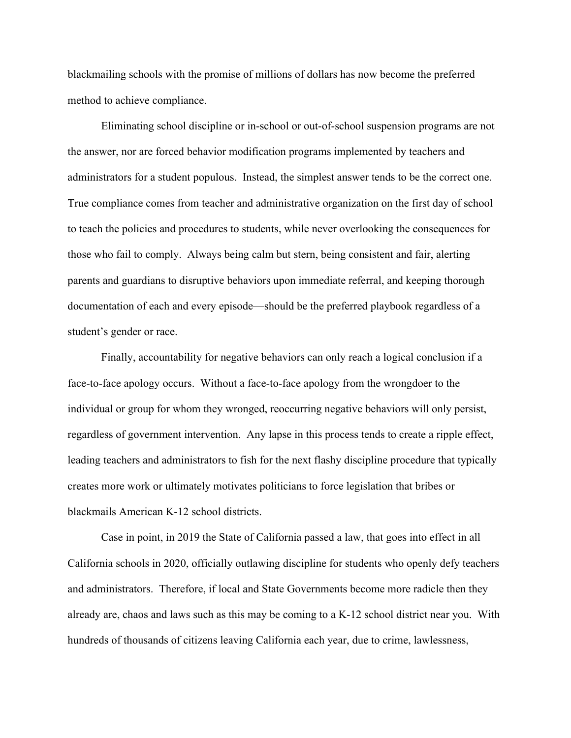blackmailing schools with the promise of millions of dollars has now become the preferred method to achieve compliance.

Eliminating school discipline or in-school or out-of-school suspension programs are not the answer, nor are forced behavior modification programs implemented by teachers and administrators for a student populous. Instead, the simplest answer tends to be the correct one. True compliance comes from teacher and administrative organization on the first day of school to teach the policies and procedures to students, while never overlooking the consequences for those who fail to comply. Always being calm but stern, being consistent and fair, alerting parents and guardians to disruptive behaviors upon immediate referral, and keeping thorough documentation of each and every episode—should be the preferred playbook regardless of a student's gender or race.

Finally, accountability for negative behaviors can only reach a logical conclusion if a face-to-face apology occurs. Without a face-to-face apology from the wrongdoer to the individual or group for whom they wronged, reoccurring negative behaviors will only persist, regardless of government intervention. Any lapse in this process tends to create a ripple effect, leading teachers and administrators to fish for the next flashy discipline procedure that typically creates more work or ultimately motivates politicians to force legislation that bribes or blackmails American K-12 school districts.

Case in point, in 2019 the State of California passed a law, that goes into effect in all California schools in 2020, officially outlawing discipline for students who openly defy teachers and administrators. Therefore, if local and State Governments become more radicle then they already are, chaos and laws such as this may be coming to a K-12 school district near you. With hundreds of thousands of citizens leaving California each year, due to crime, lawlessness,